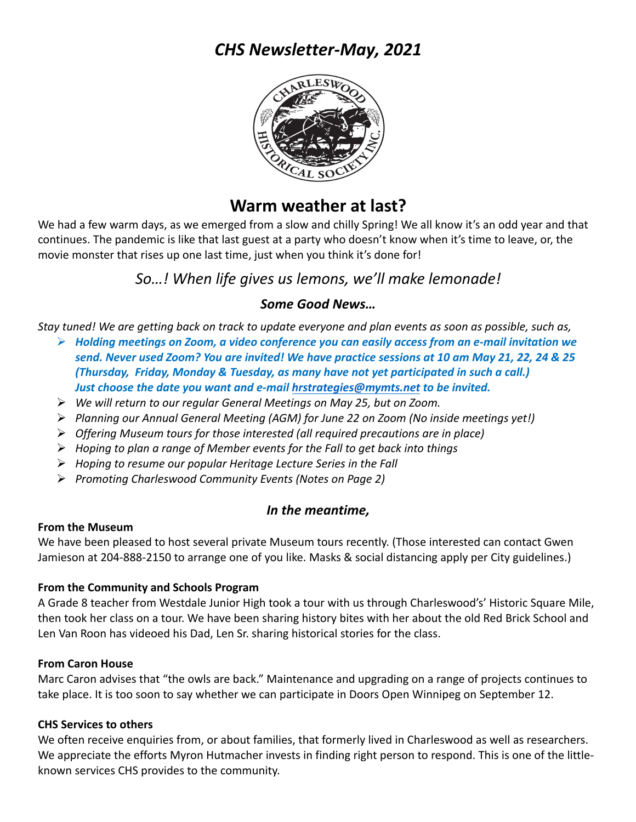# *CHS Newsletter-May, 2021*



# **Warm weather at last?**

We had a few warm days, as we emerged from a slow and chilly Spring! We all know it's an odd year and that continues. The pandemic is like that last guest at a party who doesn't know when it's time to leave, or, the movie monster that rises up one last time, just when you think it's done for!

# *So…! When life gives us lemons, we'll make lemonade!*

# *Some Good News…*

*Stay tuned! We are getting back on track to update everyone and plan events as soon as possible, such as,*

- Ø *Holding meetings on Zoom, a video conference you can easily access from an e-mail invitation we send. Never used Zoom? You are invited! We have practice sessions at 10 am May 21, 22, 24 & 25 (Thursday, Friday, Monday & Tuesday, as many have not yet participated in such a call.) Just choose the date you want and e-mail hrstrategies@mymts.net to be invited.*
- Ø *We will return to our regular General Meetings on May 25, but on Zoom.*
- Ø *Planning our Annual General Meeting (AGM) for June 22 on Zoom (No inside meetings yet!)*
- Ø *Offering Museum tours for those interested (all required precautions are in place)*
- Ø *Hoping to plan a range of Member events for the Fall to get back into things*
- Ø *Hoping to resume our popular Heritage Lecture Series in the Fall*
- Ø *Promoting Charleswood Community Events (Notes on Page 2)*

# *In the meantime,*

## **From the Museum**

We have been pleased to host several private Museum tours recently. (Those interested can contact Gwen Jamieson at 204-888-2150 to arrange one of you like. Masks & social distancing apply per City guidelines.)

## **From the Community and Schools Program**

A Grade 8 teacher from Westdale Junior High took a tour with us through Charleswood's' Historic Square Mile, then took her class on a tour. We have been sharing history bites with her about the old Red Brick School and Len Van Roon has videoed his Dad, Len Sr. sharing historical stories for the class.

## **From Caron House**

Marc Caron advises that "the owls are back." Maintenance and upgrading on a range of projects continues to take place. It is too soon to say whether we can participate in Doors Open Winnipeg on September 12.

## **CHS Services to others**

We often receive enquiries from, or about families, that formerly lived in Charleswood as well as researchers. We appreciate the efforts Myron Hutmacher invests in finding right person to respond. This is one of the littleknown services CHS provides to the community.